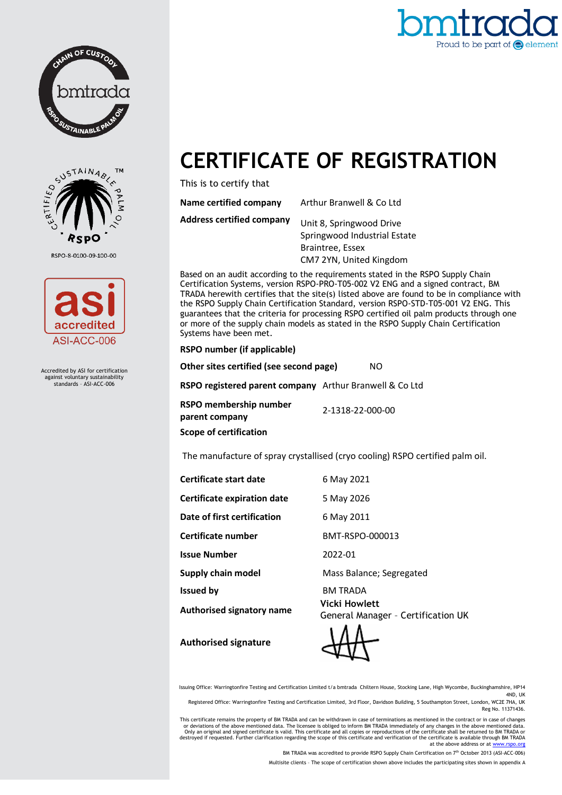



## **CERTIFICATE OF REGISTRATION**

This is to certify that

| <b>Name certified company</b>    | Arthur Branwell & Co Ltd                                 |
|----------------------------------|----------------------------------------------------------|
| <b>Address certified company</b> | Unit 8, Springwood Drive<br>Springwood Industrial Estate |
|                                  | Braintree, Essex                                         |
|                                  | CM7 2YN, United Kingdom                                  |

Based on an audit according to the requirements stated in the RSPO Supply Chain Certification Systems, version RSPO-PRO-T05-002 V2 ENG and a signed contract, BM TRADA herewith certifies that the site(s) listed above are found to be in compliance with the RSPO Supply Chain Certification Standard, version RSPO-STD-T05-001 V2 ENG. This guarantees that the criteria for processing RSPO certified oil palm products through one or more of the supply chain models as stated in the RSPO Supply Chain Certification Systems have been met.

## **RSPO number (if applicable)**

**Other sites certified (see second page)** NO **RSPO registered parent company** Arthur Branwell & Co Ltd **RSPO membership number parent company** 2-1318-22-000-00 **Scope of certification**

The manufacture of spray crystallised (cryo cooling) RSPO certified palm oil.

**Certificate start date** 6 May 2021

**Certificate expiration date** 5 May 2026

**Date of first certification** 6 May 2011

**Certificate number** BMT-RSPO-000013

**Issue Number** 2022-01

**Authorised signatory name Vicki Howlett**

**Supply chain model Supply chain model** Mass Balance; Segregated

**Issued by** BM TRADA General Manager – Certification UK



Issuing Office: Warringtonfire Testing and Certification Limited t/a bmtrada Chiltern House, Stocking Lane, High Wycombe, Buckinghamshire, HP14 4ND, UK

Registered Office: Warringtonfire Testing and Certification Limited, 3rd Floor, Davidson Building, 5 Southampton Street, London, WC2E 7HA, UK Reg No. 11371436.

This certificate remains the property of BM TRADA and can be withdrawn in case of terminations as mentioned in the contract or in case of changes<br>Or deviations of the above mentioned data. The licensee is obliged to inform at the above address or at w

BM TRADA was accredited to provide RSPO Supply Chain Certification on 7th October 2013 (ASI-ACC-006)

Multisite clients – The scope of certification shown above includes the participating sites shown in appendix A



RSPO-8-0100-09-100-00



Accredited by ASI for certification against voluntary sustainability standards – ASI-ACC-006